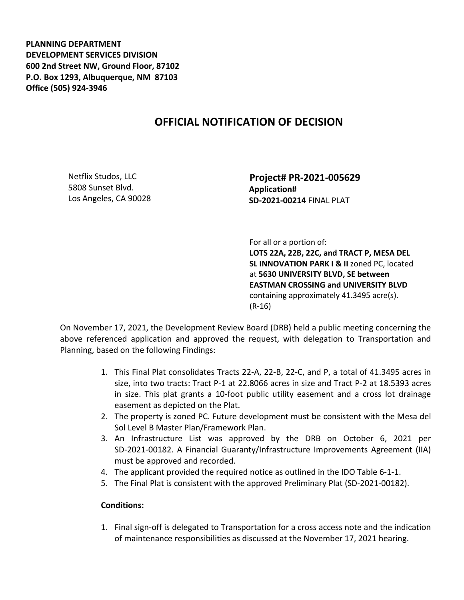**PLANNING DEPARTMENT DEVELOPMENT SERVICES DIVISION 600 2nd Street NW, Ground Floor, 87102 P.O. Box 1293, Albuquerque, NM 87103 Office (505) 924-3946** 

## **OFFICIAL NOTIFICATION OF DECISION**

Netflix Studos, LLC 5808 Sunset Blvd. Los Angeles, CA 90028  **Project# PR-2021-005629 Application# SD-2021-00214** FINAL PLAT

 For all or a portion of: **LOTS 22A, 22B, 22C, and TRACT P, MESA DEL SL INNOVATION PARK I & II** zoned PC, located at **5630 UNIVERSITY BLVD, SE between EASTMAN CROSSING and UNIVERSITY BLVD**  containing approximately 41.3495 acre(s). (R-16)

On November 17, 2021, the Development Review Board (DRB) held a public meeting concerning the above referenced application and approved the request, with delegation to Transportation and Planning, based on the following Findings:

- 1. This Final Plat consolidates Tracts 22-A, 22-B, 22-C, and P, a total of 41.3495 acres in size, into two tracts: Tract P-1 at 22.8066 acres in size and Tract P-2 at 18.5393 acres in size. This plat grants a 10-foot public utility easement and a cross lot drainage easement as depicted on the Plat.
- 2. The property is zoned PC. Future development must be consistent with the Mesa del Sol Level B Master Plan/Framework Plan.
- 3. An Infrastructure List was approved by the DRB on October 6, 2021 per SD-2021-00182. A Financial Guaranty/Infrastructure Improvements Agreement (IIA) must be approved and recorded.
- 4. The applicant provided the required notice as outlined in the IDO Table 6-1-1.
- 5. The Final Plat is consistent with the approved Preliminary Plat (SD-2021-00182).

## **Conditions:**

1. Final sign-off is delegated to Transportation for a cross access note and the indication of maintenance responsibilities as discussed at the November 17, 2021 hearing.